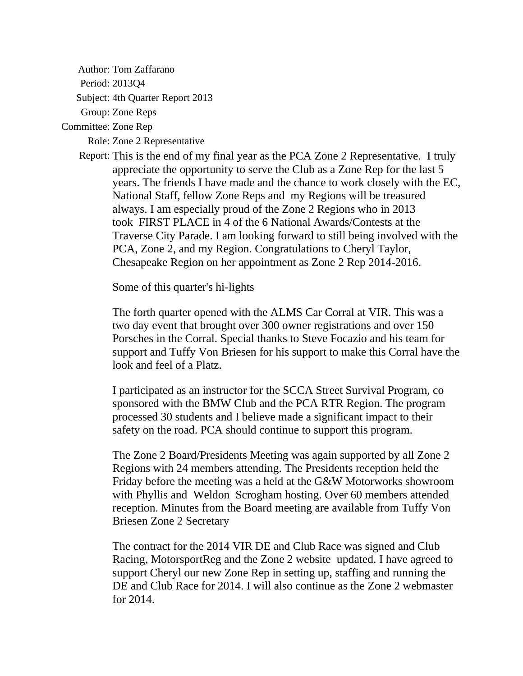Author: Tom Zaffarano

Period: 2013Q4

Subject: 4th Quarter Report 2013

Group: Zone Reps

Committee: Zone Rep

Role: Zone 2 Representative

Report: This is the end of my final year as the PCA Zone 2 Representative. I truly appreciate the opportunity to serve the Club as a Zone Rep for the last 5 years. The friends I have made and the chance to work closely with the EC, National Staff, fellow Zone Reps and my Regions will be treasured always. I am especially proud of the Zone 2 Regions who in 2013 took FIRST PLACE in 4 of the 6 National Awards/Contests at the Traverse City Parade. I am looking forward to still being involved with the PCA, Zone 2, and my Region. Congratulations to Cheryl Taylor, Chesapeake Region on her appointment as Zone 2 Rep 2014-2016.

Some of this quarter's hi-lights

The forth quarter opened with the ALMS Car Corral at VIR. This was a two day event that brought over 300 owner registrations and over 150 Porsches in the Corral. Special thanks to Steve Focazio and his team for support and Tuffy Von Briesen for his support to make this Corral have the look and feel of a Platz.

I participated as an instructor for the SCCA Street Survival Program, co sponsored with the BMW Club and the PCA RTR Region. The program processed 30 students and I believe made a significant impact to their safety on the road. PCA should continue to support this program.

The Zone 2 Board/Presidents Meeting was again supported by all Zone 2 Regions with 24 members attending. The Presidents reception held the Friday before the meeting was a held at the G&W Motorworks showroom with Phyllis and Weldon Scrogham hosting. Over 60 members attended reception. Minutes from the Board meeting are available from Tuffy Von Briesen Zone 2 Secretary

The contract for the 2014 VIR DE and Club Race was signed and Club Racing, MotorsportReg and the Zone 2 website updated. I have agreed to support Cheryl our new Zone Rep in setting up, staffing and running the DE and Club Race for 2014. I will also continue as the Zone 2 webmaster for 2014.